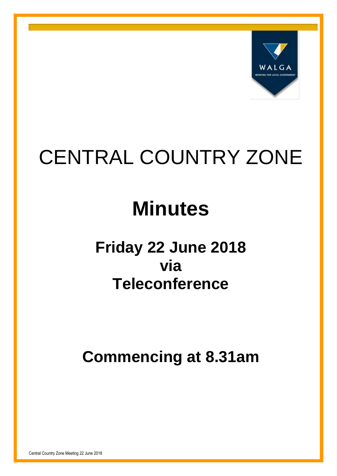

# CENTRAL COUNTRY ZONE

# **Minutes**

## **Friday 22 June 2018 via Teleconference**

**Commencing at 8.31am**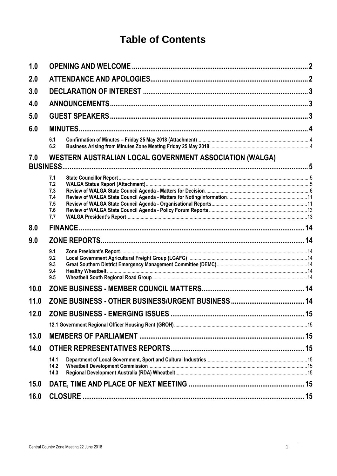## **Table of Contents**

| 1.0  |                                                                            |    |  |
|------|----------------------------------------------------------------------------|----|--|
| 2.0  |                                                                            |    |  |
| 3.0  |                                                                            |    |  |
| 4.0  |                                                                            |    |  |
| 5.0  |                                                                            |    |  |
| 6.0  |                                                                            |    |  |
|      | 6.1<br>6.2                                                                 |    |  |
| 7.0  | WESTERN AUSTRALIAN LOCAL GOVERNMENT ASSOCIATION (WALGA)<br><b>BUSINESS</b> |    |  |
|      | 7.1<br>7.2<br>7.3<br>7.4<br>7.5<br>7.6<br>7.7                              |    |  |
| 8.0  |                                                                            |    |  |
| 9.0  |                                                                            |    |  |
|      | 9.1<br>9.2<br>9.3<br>9.4<br>9.5                                            |    |  |
| 10.0 |                                                                            |    |  |
| 11.0 |                                                                            |    |  |
| 12.0 |                                                                            | 15 |  |
|      |                                                                            |    |  |
| 13.0 |                                                                            |    |  |
| 14.0 |                                                                            |    |  |
|      | 14.1<br>14.2<br>14.3                                                       |    |  |
| 15.0 |                                                                            |    |  |
| 16.0 |                                                                            |    |  |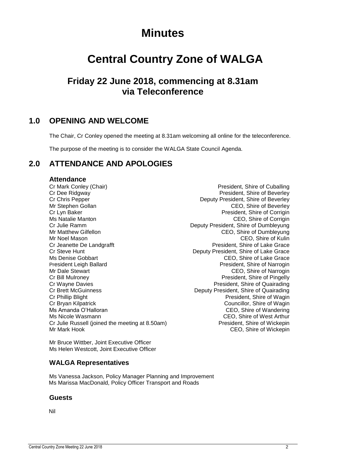## **Minutes**

## **Central Country Zone of WALGA**

## **Friday 22 June 2018, commencing at 8.31am via Teleconference**

## <span id="page-2-0"></span>**1.0 OPENING AND WELCOME**

The Chair, Cr Conley opened the meeting at 8.31am welcoming all online for the teleconference.

The purpose of the meeting is to consider the WALGA State Council Agenda.

## <span id="page-2-1"></span>**2.0 ATTENDANCE AND APOLOGIES**

#### **Attendance**

Cr Mark Conley (Chair) **President**, Shire of Cuballing President, Shire of Cuballing Cr Dee Ridgway **President, Shire of Beverley** Cr Chris Pepper Deputy President, Shire of Beverley Mr Stephen Gollan CEO, Shire of Beverley Cr Lyn Baker President, Shire of Corrigin Ms Natalie Manton **CEO**, Shire of Corrigin Cr Julie Ramm Deputy President, Shire of Dumbleyung Mr Noel Mason **CEO**, Shire of Kulin Cr Jeanette De Landgrafft **President, Shire of Lake Grace**<br>Cr Steve Hunt **President, Shire of Lake Grace** Cr Steve Hunt Cr Steve Hunt Deputy President, Shire of Lake Grace<br>Ms Denise Gobbart CEO. Shire of Lake Grace President Leigh Ballard President, Shire of Narrogin Mr Dale Stewart CEO, Shire of Narrogin Cr Bill Mulroney President, Shire of Pingelly Cr Wayne Davies **President**, Shire of Quairading Cr Brett McGuinness Deputy President, Shire of Quairading Cr Phillip Blight **President, Shire of Wagin** Cr Bryan Kilpatrick Cr Bryan Kilpatrick Councillor, Shire of Wagin Ms Amanda O'Halloran **CEO**, Shire of Wandering<br>
Ms Nicole Wasmann **CEO**, Shire of West Arthur Cr Julie Russell (joined the meeting at 8.50am) President, Shire of Wickepin Mr Mark Hook **CEO**, Shire of Wickepin

CEO, Shire of Dumbleyung CEO, Shire of Lake Grace CEO, Shire of West Arthur

Mr Bruce Wittber, Joint Executive Officer Ms Helen Westcott, Joint Executive Officer

### **WALGA Representatives**

Ms Vanessa Jackson, Policy Manager Planning and Improvement Ms Marissa MacDonald, Policy Officer Transport and Roads

#### **Guests**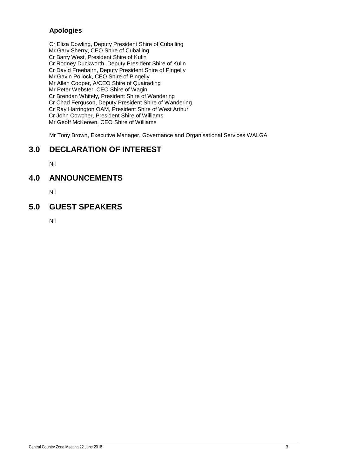### **Apologies**

Cr Eliza Dowling, Deputy President Shire of Cuballing Mr Gary Sherry, CEO Shire of Cuballing Cr Barry West, President Shire of Kulin Cr Rodney Duckworth, Deputy President Shire of Kulin Cr David Freebairn, Deputy President Shire of Pingelly Mr Gavin Pollock, CEO Shire of Pingelly Mr Allen Cooper, A/CEO Shire of Quairading Mr Peter Webster, CEO Shire of Wagin Cr Brendan Whitely, President Shire of Wandering Cr Chad Ferguson, Deputy President Shire of Wandering

Cr Ray Harrington OAM, President Shire of West Arthur

Cr John Cowcher, President Shire of Williams

Mr Geoff McKeown, CEO Shire of Williams

Mr Tony Brown, Executive Manager, Governance and Organisational Services WALGA

## <span id="page-3-0"></span>**3.0 DECLARATION OF INTEREST**

Nil

## <span id="page-3-1"></span>**4.0 ANNOUNCEMENTS**

Nil

## <span id="page-3-2"></span>**5.0 GUEST SPEAKERS**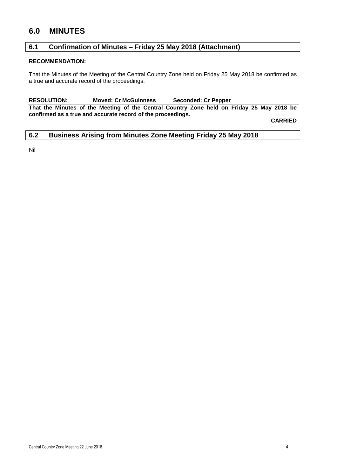## <span id="page-4-0"></span>**6.0 MINUTES**

### <span id="page-4-1"></span>**6.1 Confirmation of Minutes – Friday 25 May 2018 (Attachment)**

#### **RECOMMENDATION:**

That the Minutes of the Meeting of the Central Country Zone held on Friday 25 May 2018 be confirmed as a true and accurate record of the proceedings.

**RESOLUTION: Moved: Cr McGuinness Seconded: Cr Pepper**

**That the Minutes of the Meeting of the Central Country Zone held on Friday 25 May 2018 be confirmed as a true and accurate record of the proceedings.**

**CARRIED**

#### <span id="page-4-2"></span>**6.2 Business Arising from Minutes Zone Meeting Friday 25 May 2018**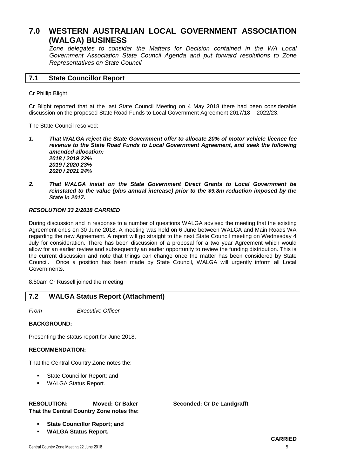## <span id="page-5-0"></span>**7.0 WESTERN AUSTRALIAN LOCAL GOVERNMENT ASSOCIATION (WALGA) BUSINESS**

*Zone delegates to consider the Matters for Decision contained in the WA Local Government Association State Council Agenda and put forward resolutions to Zone Representatives on State Council*

#### <span id="page-5-1"></span>**7.1 State Councillor Report**

#### Cr Phillip Blight

Cr Blight reported that at the last State Council Meeting on 4 May 2018 there had been considerable discussion on the proposed State Road Funds to Local Government Agreement 2017/18 – 2022/23.

The State Council resolved:

*1. That WALGA reject the State Government offer to allocate 20% of motor vehicle licence fee revenue to the State Road Funds to Local Government Agreement, and seek the following amended allocation:*

*2018 / 2019 22% 2019 / 2020 23% 2020 / 2021 24%*

*2. That WALGA insist on the State Government Direct Grants to Local Government be reinstated to the value (plus annual increase) prior to the \$9.8m reduction imposed by the State in 2017.*

#### *RESOLUTION 33 2/2018 CARRIED*

During discussion and in response to a number of questions WALGA advised the meeting that the existing Agreement ends on 30 June 2018. A meeting was held on 6 June between WALGA and Main Roads WA regarding the new Agreement. A report will go straight to the next State Council meeting on Wednesday 4 July for consideration. There has been discussion of a proposal for a two year Agreement which would allow for an earlier review and subsequently an earlier opportunity to review the funding distribution. This is the current discussion and note that things can change once the matter has been considered by State Council. Once a position has been made by State Council, WALGA will urgently inform all Local Governments.

8.50am Cr Russell joined the meeting

## <span id="page-5-2"></span>**7.2 WALGA Status Report (Attachment)**

*From Executive Officer*

#### **BACKGROUND:**

Presenting the status report for June 2018.

#### **RECOMMENDATION:**

That the Central Country Zone notes the:

- State Councillor Report; and
- WALGA Status Report.

#### **RESOLUTION: Moved: Cr Baker Seconded: Cr De Landgrafft**

**That the Central Country Zone notes the:**

- **State Councillor Report; and**
- **WALGA Status Report.**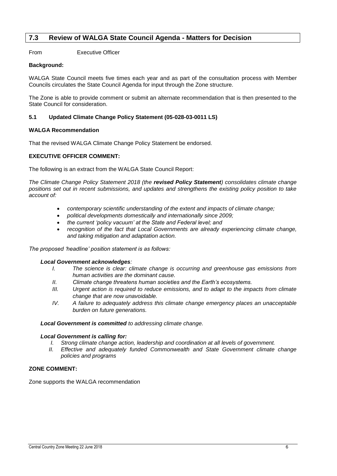#### <span id="page-6-0"></span>**7.3 Review of WALGA State Council Agenda - Matters for Decision**

From Executive Officer

#### **Background:**

WALGA State Council meets five times each year and as part of the consultation process with Member Councils circulates the State Council Agenda for input through the Zone structure.

The Zone is able to provide comment or submit an alternate recommendation that is then presented to the State Council for consideration.

#### **5.1 Updated Climate Change Policy Statement (05-028-03-0011 LS)**

#### **WALGA Recommendation**

That the revised WALGA Climate Change Policy Statement be endorsed.

#### **EXECUTIVE OFFICER COMMENT:**

The following is an extract from the WALGA State Council Report:

*The Climate Change Policy Statement 2018 (the revised Policy Statement) consolidates climate change positions set out in recent submissions, and updates and strengthens the existing policy position to take account of:*

- *contemporary scientific understanding of the extent and impacts of climate change;*
- *political developments domestically and internationally since 2009;*
- *the current 'policy vacuum' at the State and Federal level; and*
- *recognition of the fact that Local Governments are already experiencing climate change, and taking mitigation and adaptation action.*

#### *The proposed 'headline' position statement is as follows:*

#### *Local Government acknowledges:*

- *I. The science is clear: climate change is occurring and greenhouse gas emissions from human activities are the dominant cause.*
- *II. Climate change threatens human societies and the Earth's ecosystems.*
- *III. Urgent action is required to reduce emissions, and to adapt to the impacts from climate change that are now unavoidable.*
- *IV. A failure to adequately address this climate change emergency places an unacceptable burden on future generations.*

#### *Local Government is committed to addressing climate change.*

#### *Local Government is calling for:*

- *I. Strong climate change action, leadership and coordination at all levels of government.*
- *II. Effective and adequately funded Commonwealth and State Government climate change policies and programs*

#### **ZONE COMMENT:**

Zone supports the WALGA recommendation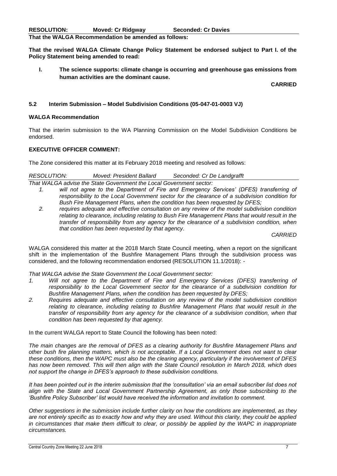**That the revised WALGA Climate Change Policy Statement be endorsed subject to Part I. of the Policy Statement being amended to read:**

**I. The science supports: climate change is occurring and greenhouse gas emissions from human activities are the dominant cause.**

**CARRIED**

#### **5.2 Interim Submission – Model Subdivision Conditions (05-047-01-0003 VJ)**

#### **WALGA Recommendation**

That the interim submission to the WA Planning Commission on the Model Subdivision Conditions be endorsed.

#### **EXECUTIVE OFFICER COMMENT:**

The Zone considered this matter at its February 2018 meeting and resolved as follows:

| <b>RESOLUTION:</b> | Moved: President Ballard | Seconded: Cr De Landgrafft |  |
|--------------------|--------------------------|----------------------------|--|
|--------------------|--------------------------|----------------------------|--|

*That WALGA advise the State Government the Local Government sector:*

- *1. will not agree to the Department of Fire and Emergency Services' (DFES) transferring of responsibility to the Local Government sector for the clearance of a subdivision condition for Bush Fire Management Plans, when the condition has been requested by DFES;*
- *2. requires adequate and effective consultation on any review of the model subdivision condition relating to clearance, including relating to Bush Fire Management Plans that would result in the transfer of responsibility from any agency for the clearance of a subdivision condition, when that condition has been requested by that agency.*

*CARRIED*

WALGA considered this matter at the 2018 March State Council meeting, when a report on the significant shift in the implementation of the Bushfire Management Plans through the subdivision process was considered, and the following recommendation endorsed (RESOLUTION 11.1/2018): -

#### *That WALGA advise the State Government the Local Government sector:*

- *1. Will not agree to the Department of Fire and Emergency Services (DFES) transferring of responsibility to the Local Government sector for the clearance of a subdivision condition for Bushfire Management Plans, when the condition has been requested by DFES;*
- *2. Requires adequate and effective consultation on any review of the model subdivision condition relating to clearance, including relating to Bushfire Management Plans that would result in the transfer of responsibility from any agency for the clearance of a subdivision condition, when that condition has been requested by that agency.*

In the current WALGA report to State Council the following has been noted:

*The main changes are the removal of DFES as a clearing authority for Bushfire Management Plans and other bush fire planning matters, which is not acceptable. If a Local Government does not want to clear these conditions, then the WAPC must also be the clearing agency, particularly if the involvement of DFES has now been removed. This will then align with the State Council resolution in March 2018, which does not support the change in DFES's approach to these subdivision conditions.* 

It has been pointed out in the interim submission that the 'consultation' via an email subscriber list does not *align with the State and Local Government Partnership Agreement, as only those subscribing to the 'Bushfire Policy Subscriber' list would have received the information and invitation to comment.* 

*Other suggestions in the submission include further clarity on how the conditions are implemented, as they*  are not entirely specific as to exactly how and why they are used. Without this clarity, they could be applied in circumstances that make them difficult to clear, or possibly be applied by the WAPC in inappropriate *circumstances.*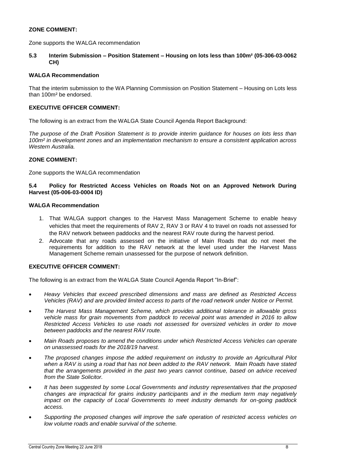#### **ZONE COMMENT:**

Zone supports the WALGA recommendation

**5.3 Interim Submission – Position Statement – Housing on lots less than 100m² (05-306-03-0062 CH)**

#### **WALGA Recommendation**

That the interim submission to the WA Planning Commission on Position Statement – Housing on Lots less than 100m² be endorsed.

#### **EXECUTIVE OFFICER COMMENT:**

The following is an extract from the WALGA State Council Agenda Report Background:

*The purpose of the Draft Position Statement is to provide interim guidance for houses on lots less than 100m² in development zones and an implementation mechanism to ensure a consistent application across Western Australia.*

#### **ZONE COMMENT:**

Zone supports the WALGA recommendation

#### **5.4 Policy for Restricted Access Vehicles on Roads Not on an Approved Network During Harvest (05-006-03-0004 ID)**

#### **WALGA Recommendation**

- 1. That WALGA support changes to the Harvest Mass Management Scheme to enable heavy vehicles that meet the requirements of RAV 2, RAV 3 or RAV 4 to travel on roads not assessed for the RAV network between paddocks and the nearest RAV route during the harvest period.
- 2. Advocate that any roads assessed on the initiative of Main Roads that do not meet the requirements for addition to the RAV network at the level used under the Harvest Mass Management Scheme remain unassessed for the purpose of network definition.

#### **EXECUTIVE OFFICER COMMENT:**

The following is an extract from the WALGA State Council Agenda Report "In-Brief":

- *Heavy Vehicles that exceed prescribed dimensions and mass are defined as Restricted Access Vehicles (RAV) and are provided limited access to parts of the road network under Notice or Permit.*
- *The Harvest Mass Management Scheme, which provides additional tolerance in allowable gross vehicle mass for grain movements from paddock to receival point was amended in 2016 to allow Restricted Access Vehicles to use roads not assessed for oversized vehicles in order to move between paddocks and the nearest RAV route.*
- *Main Roads proposes to amend the conditions under which Restricted Access Vehicles can operate on unassessed roads for the 2018/19 harvest.*
- *The proposed changes impose the added requirement on industry to provide an Agricultural Pilot when a RAV is using a road that has not been added to the RAV network. Main Roads have stated that the arrangements provided in the past two years cannot continue, based on advice received from the State Solicitor.*
- *It has been suggested by some Local Governments and industry representatives that the proposed changes are impractical for grains industry participants and in the medium term may negatively impact on the capacity of Local Governments to meet industry demands for on-going paddock access.*
- *Supporting the proposed changes will improve the safe operation of restricted access vehicles on low volume roads and enable survival of the scheme.*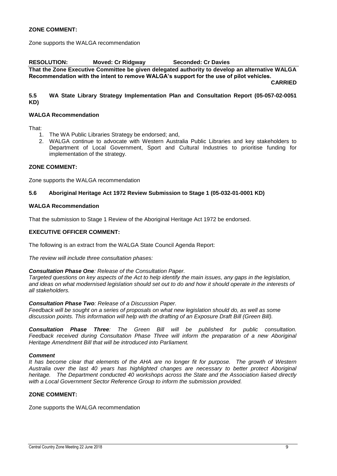#### **ZONE COMMENT:**

Zone supports the WALGA recommendation

**RESOLUTION: Moved: Cr Ridgway Seconded: Cr Davies That the Zone Executive Committee be given delegated authority to develop an alternative WALGA Recommendation with the intent to remove WALGA's support for the use of pilot vehicles.** 

**CARRIED**

#### **5.5 WA State Library Strategy Implementation Plan and Consultation Report (05-057-02-0051 KD)**

#### **WALGA Recommendation**

That:

- 1. The WA Public Libraries Strategy be endorsed; and,
- 2. WALGA continue to advocate with Western Australia Public Libraries and key stakeholders to Department of Local Government, Sport and Cultural Industries to prioritise funding for implementation of the strategy.

#### **ZONE COMMENT:**

Zone supports the WALGA recommendation

#### **5.6 Aboriginal Heritage Act 1972 Review Submission to Stage 1 (05-032-01-0001 KD)**

#### **WALGA Recommendation**

That the submission to Stage 1 Review of the Aboriginal Heritage Act 1972 be endorsed.

#### **EXECUTIVE OFFICER COMMENT:**

The following is an extract from the WALGA State Council Agenda Report:

*The review will include three consultation phases:*

#### *Consultation Phase One: Release of the Consultation Paper.*

*Targeted questions on key aspects of the Act to help identify the main issues, any gaps in the legislation, and ideas on what modernised legislation should set out to do and how it should operate in the interests of all stakeholders.*

#### *Consultation Phase Two: Release of a Discussion Paper.*

*Feedback will be sought on a series of proposals on what new legislation should do, as well as some discussion points. This information will help with the drafting of an Exposure Draft Bill (Green Bill).*

*Consultation Phase Three: The Green Bill will be published for public consultation.* Feedback received during Consultation Phase Three will inform the preparation of a new Aboriginal *Heritage Amendment Bill that will be introduced into Parliament.*

#### *Comment*

*It has become clear that elements of the AHA are no longer fit for purpose. The growth of Western Australia over the last 40 years has highlighted changes are necessary to better protect Aboriginal heritage. The Department conducted 40 workshops across the State and the Association liaised directly with a Local Government Sector Reference Group to inform the submission provided.*

#### **ZONE COMMENT:**

Zone supports the WALGA recommendation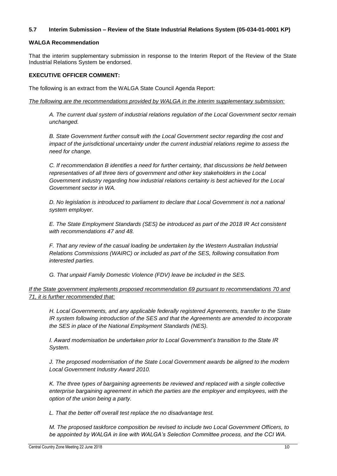#### **5.7 Interim Submission – Review of the State Industrial Relations System (05-034-01-0001 KP)**

#### **WALGA Recommendation**

That the interim supplementary submission in response to the Interim Report of the Review of the State Industrial Relations System be endorsed.

#### **EXECUTIVE OFFICER COMMENT:**

The following is an extract from the WALGA State Council Agenda Report:

*The following are the recommendations provided by WALGA in the interim supplementary submission:*

*A. The current dual system of industrial relations regulation of the Local Government sector remain unchanged.*

*B. State Government further consult with the Local Government sector regarding the cost and impact of the jurisdictional uncertainty under the current industrial relations regime to assess the need for change.*

*C. If recommendation B identifies a need for further certainty, that discussions be held between representatives of all three tiers of government and other key stakeholders in the Local Government industry regarding how industrial relations certainty is best achieved for the Local Government sector in WA.*

*D. No legislation is introduced to parliament to declare that Local Government is not a national system employer.*

*E. The State Employment Standards (SES) be introduced as part of the 2018 IR Act consistent with recommendations 47 and 48.*

*F. That any review of the casual loading be undertaken by the Western Australian Industrial Relations Commissions (WAIRC) or included as part of the SES, following consultation from interested parties.*

*G. That unpaid Family Domestic Violence (FDV) leave be included in the SES.*

*If the State government implements proposed recommendation 69 pursuant to recommendations 70 and 71, it is further recommended that:*

*H. Local Governments, and any applicable federally registered Agreements, transfer to the State IR system following introduction of the SES and that the Agreements are amended to incorporate the SES in place of the National Employment Standards (NES).*

*I. Award modernisation be undertaken prior to Local Government's transition to the State IR System.*

*J. The proposed modernisation of the State Local Government awards be aligned to the modern Local Government Industry Award 2010.*

*K. The three types of bargaining agreements be reviewed and replaced with a single collective enterprise bargaining agreement in which the parties are the employer and employees, with the option of the union being a party.*

*L. That the better off overall test replace the no disadvantage test.*

*M. The proposed taskforce composition be revised to include two Local Government Officers, to be appointed by WALGA in line with WALGA's Selection Committee process, and the CCI WA.*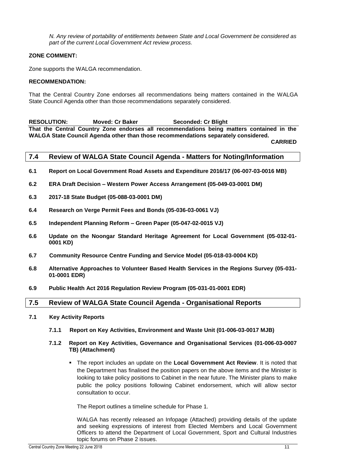*N. Any review of portability of entitlements between State and Local Government be considered as part of the current Local Government Act review process.*

#### **ZONE COMMENT:**

Zone supports the WALGA recommendation.

#### **RECOMMENDATION:**

That the Central Country Zone endorses all recommendations being matters contained in the WALGA State Council Agenda other than those recommendations separately considered.

**RESOLUTION: Moved: Cr Baker Seconded: Cr Blight That the Central Country Zone endorses all recommendations being matters contained in the WALGA State Council Agenda other than those recommendations separately considered.**

**CARRIED**

#### <span id="page-11-0"></span>**7.4 Review of WALGA State Council Agenda - Matters for Noting/Information**

- **6.1 Report on Local Government Road Assets and Expenditure 2016/17 (06-007-03-0016 MB)**
- **6.2 ERA Draft Decision – Western Power Access Arrangement (05-049-03-0001 DM)**
- **6.3 2017-18 State Budget (05-088-03-0001 DM)**
- **6.4 Research on Verge Permit Fees and Bonds (05-036-03-0061 VJ)**
- **6.5 Independent Planning Reform – Green Paper (05-047-02-0015 VJ)**
- **6.6 Update on the Noongar Standard Heritage Agreement for Local Government (05-032-01- 0001 KD)**
- **6.7 Community Resource Centre Funding and Service Model (05-018-03-0004 KD)**
- **6.8 Alternative Approaches to Volunteer Based Health Services in the Regions Survey (05-031- 01-0001 EDR)**
- **6.9 Public Health Act 2016 Regulation Review Program (05-031-01-0001 EDR)**

#### <span id="page-11-1"></span>**7.5 Review of WALGA State Council Agenda - Organisational Reports**

#### **7.1 Key Activity Reports**

- **7.1.1 Report on Key Activities, Environment and Waste Unit (01-006-03-0017 MJB)**
- **7.1.2 Report on Key Activities, Governance and Organisational Services (01-006-03-0007 TB) (Attachment)**
	- The report includes an update on the **Local Government Act Review**. It is noted that the Department has finalised the position papers on the above items and the Minister is looking to take policy positions to Cabinet in the near future. The Minister plans to make public the policy positions following Cabinet endorsement, which will allow sector consultation to occur.

The Report outlines a timeline schedule for Phase 1.

WALGA has recently released an Infopage (Attached) providing details of the update and seeking expressions of interest from Elected Members and Local Government Officers to attend the Department of Local Government, Sport and Cultural Industries topic forums on Phase 2 issues.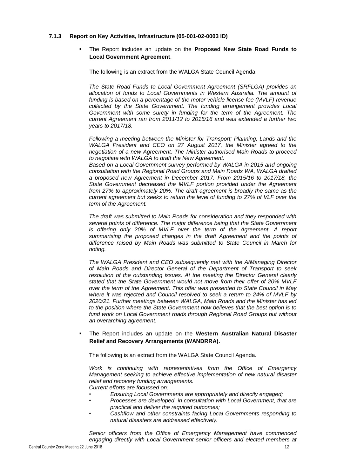#### **7.1.3 Report on Key Activities, Infrastructure (05-001-02-0003 ID)**

 The Report includes an update on the **Proposed New State Road Funds to Local Government Agreement**.

The following is an extract from the WALGA State Council Agenda.

*The State Road Funds to Local Government Agreement (SRFLGA) provides an*  allocation of funds to Local Governments in Western Australia. The amount of *funding is based on a percentage of the motor vehicle license fee (MVLF) revenue collected by the State Government. The funding arrangement provides Local Government with some surety in funding for the term of the Agreement. The current Agreement ran from 2011/12 to 2015/16 and was extended a further two years to 2017/18.*

*Following a meeting between the Minister for Transport; Planning; Lands and the WALGA President and CEO on 27 August 2017, the Minister agreed to the negotiation of a new Agreement. The Minister authorised Main Roads to proceed to negotiate with WALGA to draft the New Agreement.* 

Based on a Local Government survey performed by WALGA in 2015 and ongoing *consultation with the Regional Road Groups and Main Roads WA, WALGA drafted a proposed new Agreement in December 2017. From 2015/16 to 2017/18, the State Government decreased the MVLF portion provided under the Agreement from 27% to approximately 20%. The draft agreement is broadly the same as the current agreement but seeks to return the level of funding to 27% of VLF over the term of the Agreement.*

*The draft was submitted to Main Roads for consideration and they responded with several points of difference. The major difference being that the State Government is offering only 20% of MVLF over the term of the Agreement. A report summarising the proposed changes in the draft Agreement and the points of difference raised by Main Roads was submitted to State Council in March for noting.* 

*The WALGA President and CEO subsequently met with the A/Managing Director of Main Roads and Director General of the Department of Transport to seek resolution of the outstanding issues. At the meeting the Director General clearly stated that the State Government would not move from their offer of 20% MVLF over the term of the Agreement. This offer was presented to State Council in May where it was rejected and Council resolved to seek a return to 24% of MVLF by 2020/21. Further meetings between WALGA, Main Roads and the Minister has led to the position where the State Government now believes that the best option is to fund work on Local Government roads through Regional Road Groups but without an overarching agreement.*

 The Report includes an update on the **Western Australian Natural Disaster Relief and Recovery Arrangements (WANDRRA).**

The following is an extract from the WALGA State Council Agenda.

*Work is continuing with representatives from the Office of Emergency Management seeking to achieve effective implementation of new natural disaster relief and recovery funding arrangements. Current efforts are focussed on:*

- *• Ensuring Local Governments are appropriately and directly engaged;*
- *• Processes are developed, in consultation with Local Government, that are practical and deliver the required outcomes;*
- *• Cashflow and other constraints facing Local Governments responding to natural disasters are addressed effectively.*

*Senior officers from the Office of Emergency Management have commenced engaging directly with Local Government senior officers and elected members at*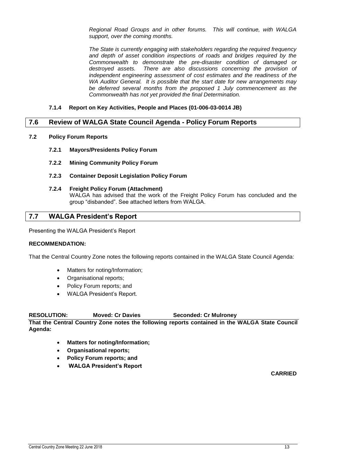*Regional Road Groups and in other forums. This will continue, with WALGA support, over the coming months.*

*The State is currently engaging with stakeholders regarding the required frequency and depth of asset condition inspections of roads and bridges required by the Commonwealth to demonstrate the pre-disaster condition of damaged or destroyed assets. There are also discussions concerning the provision of independent engineering assessment of cost estimates and the readiness of the WA Auditor General. It is possible that the start date for new arrangements may be deferred several months from the proposed 1 July commencement as the Commonwealth has not yet provided the final Determination.*

#### **7.1.4 Report on Key Activities, People and Places (01-006-03-0014 JB)**

#### <span id="page-13-0"></span>**7.6 Review of WALGA State Council Agenda - Policy Forum Reports**

- **7.2 Policy Forum Reports**
	- **7.2.1 Mayors/Presidents Policy Forum**
	- **7.2.2 Mining Community Policy Forum**
	- **7.2.3 Container Deposit Legislation Policy Forum**
	- **7.2.4 Freight Policy Forum (Attachment)**

WALGA has advised that the work of the Freight Policy Forum has concluded and the group "disbanded". See attached letters from WALGA.

#### <span id="page-13-1"></span>**7.7 WALGA President's Report**

Presenting the WALGA President's Report

#### **RECOMMENDATION:**

That the Central Country Zone notes the following reports contained in the WALGA State Council Agenda:

- Matters for noting/Information;
- Organisational reports;
- Policy Forum reports; and
- WALGA President's Report.

**RESOLUTION: Moved: Cr Davies Seconded: Cr Mulroney**

**That the Central Country Zone notes the following reports contained in the WALGA State Council Agenda:**

- **Matters for noting/Information;**
- **Organisational reports;**
- **Policy Forum reports; and**
- **WALGA President's Report**

**CARRIED**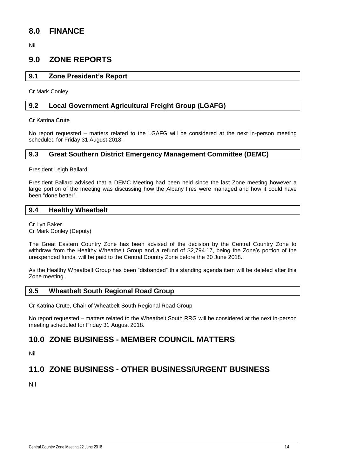## <span id="page-14-0"></span>**8.0 FINANCE**

Nil

## <span id="page-14-1"></span>**9.0 ZONE REPORTS**

#### <span id="page-14-2"></span>**9.1 Zone President's Report**

Cr Mark Conley

#### <span id="page-14-3"></span>**9.2 Local Government Agricultural Freight Group (LGAFG)**

Cr Katrina Crute

No report requested – matters related to the LGAFG will be considered at the next in-person meeting scheduled for Friday 31 August 2018.

#### <span id="page-14-4"></span>**9.3 Great Southern District Emergency Management Committee (DEMC)**

President Leigh Ballard

President Ballard advised that a DEMC Meeting had been held since the last Zone meeting however a large portion of the meeting was discussing how the Albany fires were managed and how it could have been "done better".

#### <span id="page-14-5"></span>**9.4 Healthy Wheatbelt**

Cr Lyn Baker Cr Mark Conley (Deputy)

The Great Eastern Country Zone has been advised of the decision by the Central Country Zone to withdraw from the Healthy Wheatbelt Group and a refund of \$2,794.17, being the Zone's portion of the unexpended funds, will be paid to the Central Country Zone before the 30 June 2018.

As the Healthy Wheatbelt Group has been "disbanded" this standing agenda item will be deleted after this Zone meeting.

#### <span id="page-14-6"></span>**9.5 Wheatbelt South Regional Road Group**

Cr Katrina Crute, Chair of Wheatbelt South Regional Road Group

No report requested – matters related to the Wheatbelt South RRG will be considered at the next in-person meeting scheduled for Friday 31 August 2018.

## <span id="page-14-7"></span>**10.0 ZONE BUSINESS - MEMBER COUNCIL MATTERS**

Nil

## <span id="page-14-8"></span>**11.0 ZONE BUSINESS - OTHER BUSINESS/URGENT BUSINESS**